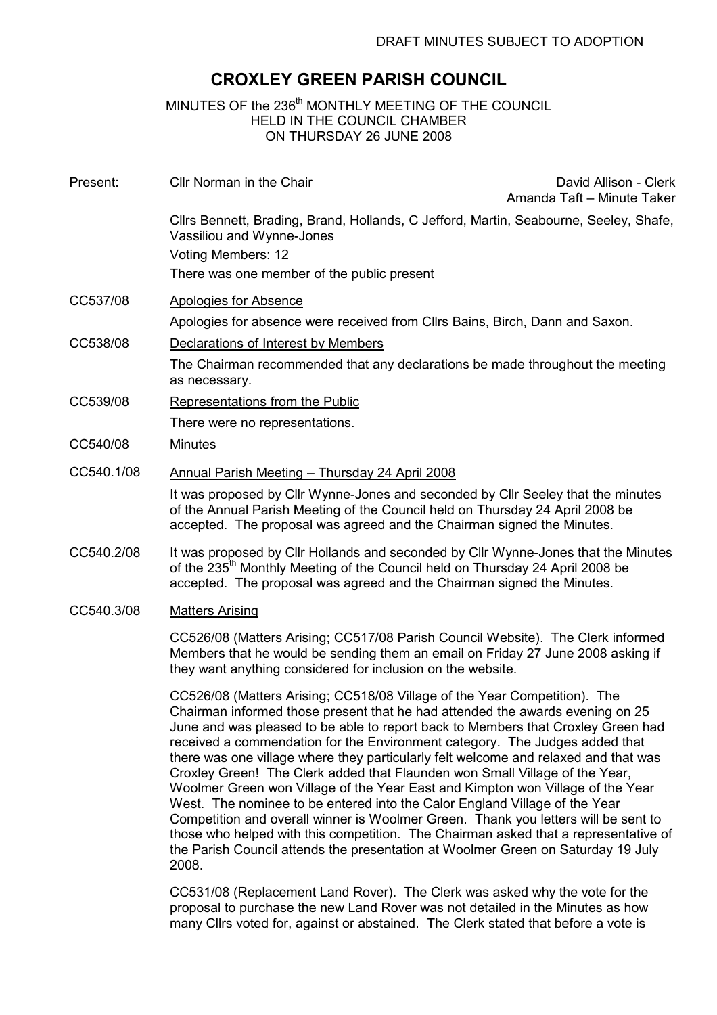# CROXLEY GREEN PARISH COUNCIL

MINUTES OF the 236<sup>th</sup> MONTHLY MEETING OF THE COUNCIL HELD IN THE COUNCIL CHAMBER ON THURSDAY 26 JUNE 2008

| Present:   | Cllr Norman in the Chair                                                                                                                                                                                                                                  | David Allison - Clerk<br>Amanda Taft - Minute Taker |
|------------|-----------------------------------------------------------------------------------------------------------------------------------------------------------------------------------------------------------------------------------------------------------|-----------------------------------------------------|
|            | Cllrs Bennett, Brading, Brand, Hollands, C Jefford, Martin, Seabourne, Seeley, Shafe,<br>Vassiliou and Wynne-Jones                                                                                                                                        |                                                     |
|            | Voting Members: 12                                                                                                                                                                                                                                        |                                                     |
|            | There was one member of the public present                                                                                                                                                                                                                |                                                     |
| CC537/08   | Apologies for Absence                                                                                                                                                                                                                                     |                                                     |
|            | Apologies for absence were received from Cllrs Bains, Birch, Dann and Saxon.                                                                                                                                                                              |                                                     |
| CC538/08   | Declarations of Interest by Members                                                                                                                                                                                                                       |                                                     |
|            | The Chairman recommended that any declarations be made throughout the meeting<br>as necessary.                                                                                                                                                            |                                                     |
| CC539/08   | Representations from the Public                                                                                                                                                                                                                           |                                                     |
|            | There were no representations.                                                                                                                                                                                                                            |                                                     |
| CC540/08   | <b>Minutes</b>                                                                                                                                                                                                                                            |                                                     |
| CC540.1/08 | Annual Parish Meeting - Thursday 24 April 2008                                                                                                                                                                                                            |                                                     |
|            | It was proposed by CIIr Wynne-Jones and seconded by CIIr Seeley that the minutes<br>of the Annual Parish Meeting of the Council held on Thursday 24 April 2008 be<br>accepted. The proposal was agreed and the Chairman signed the Minutes.               |                                                     |
| CC540.2/08 | It was proposed by Cllr Hollands and seconded by Cllr Wynne-Jones that the Minutes<br>of the 235 <sup>th</sup> Monthly Meeting of the Council held on Thursday 24 April 2008 be<br>accepted. The proposal was agreed and the Chairman signed the Minutes. |                                                     |

# CC540.3/08 Matters Arising

CC526/08 (Matters Arising; CC517/08 Parish Council Website). The Clerk informed Members that he would be sending them an email on Friday 27 June 2008 asking if they want anything considered for inclusion on the website.

CC526/08 (Matters Arising; CC518/08 Village of the Year Competition). The Chairman informed those present that he had attended the awards evening on 25 June and was pleased to be able to report back to Members that Croxley Green had received a commendation for the Environment category. The Judges added that there was one village where they particularly felt welcome and relaxed and that was Croxley Green! The Clerk added that Flaunden won Small Village of the Year, Woolmer Green won Village of the Year East and Kimpton won Village of the Year West. The nominee to be entered into the Calor England Village of the Year Competition and overall winner is Woolmer Green. Thank you letters will be sent to those who helped with this competition. The Chairman asked that a representative of the Parish Council attends the presentation at Woolmer Green on Saturday 19 July 2008.

CC531/08 (Replacement Land Rover). The Clerk was asked why the vote for the proposal to purchase the new Land Rover was not detailed in the Minutes as how many Cllrs voted for, against or abstained. The Clerk stated that before a vote is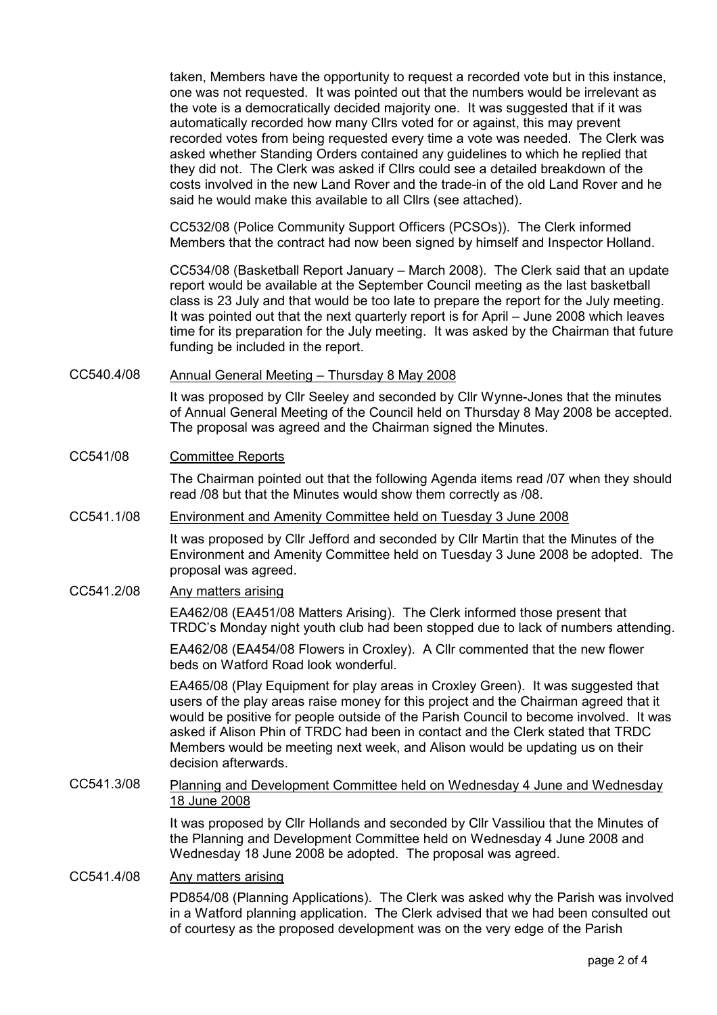taken, Members have the opportunity to request a recorded vote but in this instance, one was not requested. It was pointed out that the numbers would be irrelevant as the vote is a democratically decided majority one. It was suggested that if it was automatically recorded how many Cllrs voted for or against, this may prevent recorded votes from being requested every time a vote was needed. The Clerk was asked whether Standing Orders contained any guidelines to which he replied that they did not. The Clerk was asked if Cllrs could see a detailed breakdown of the costs involved in the new Land Rover and the trade-in of the old Land Rover and he said he would make this available to all Cllrs (see attached).

CC532/08 (Police Community Support Officers (PCSOs)). The Clerk informed Members that the contract had now been signed by himself and Inspector Holland.

CC534/08 (Basketball Report January – March 2008). The Clerk said that an update report would be available at the September Council meeting as the last basketball class is 23 July and that would be too late to prepare the report for the July meeting. It was pointed out that the next quarterly report is for April – June 2008 which leaves time for its preparation for the July meeting. It was asked by the Chairman that future funding be included in the report.

# CC540.4/08 Annual General Meeting – Thursday 8 May 2008

It was proposed by Cllr Seeley and seconded by Cllr Wynne-Jones that the minutes of Annual General Meeting of the Council held on Thursday 8 May 2008 be accepted. The proposal was agreed and the Chairman signed the Minutes.

## CC541/08 Committee Reports

The Chairman pointed out that the following Agenda items read /07 when they should read /08 but that the Minutes would show them correctly as /08.

### CC541.1/08 Environment and Amenity Committee held on Tuesday 3 June 2008

It was proposed by Cllr Jefford and seconded by Cllr Martin that the Minutes of the Environment and Amenity Committee held on Tuesday 3 June 2008 be adopted. The proposal was agreed.

# CC541.2/08 Any matters arising

EA462/08 (EA451/08 Matters Arising). The Clerk informed those present that TRDC's Monday night youth club had been stopped due to lack of numbers attending.

EA462/08 (EA454/08 Flowers in Croxley). A Cllr commented that the new flower beds on Watford Road look wonderful.

EA465/08 (Play Equipment for play areas in Croxley Green). It was suggested that users of the play areas raise money for this project and the Chairman agreed that it would be positive for people outside of the Parish Council to become involved. It was asked if Alison Phin of TRDC had been in contact and the Clerk stated that TRDC Members would be meeting next week, and Alison would be updating us on their decision afterwards.

## CC541.3/08 Planning and Development Committee held on Wednesday 4 June and Wednesday 18 June 2008

It was proposed by Cllr Hollands and seconded by Cllr Vassiliou that the Minutes of the Planning and Development Committee held on Wednesday 4 June 2008 and Wednesday 18 June 2008 be adopted. The proposal was agreed.

#### CC541.4/08 Any matters arising

PD854/08 (Planning Applications). The Clerk was asked why the Parish was involved in a Watford planning application. The Clerk advised that we had been consulted out of courtesy as the proposed development was on the very edge of the Parish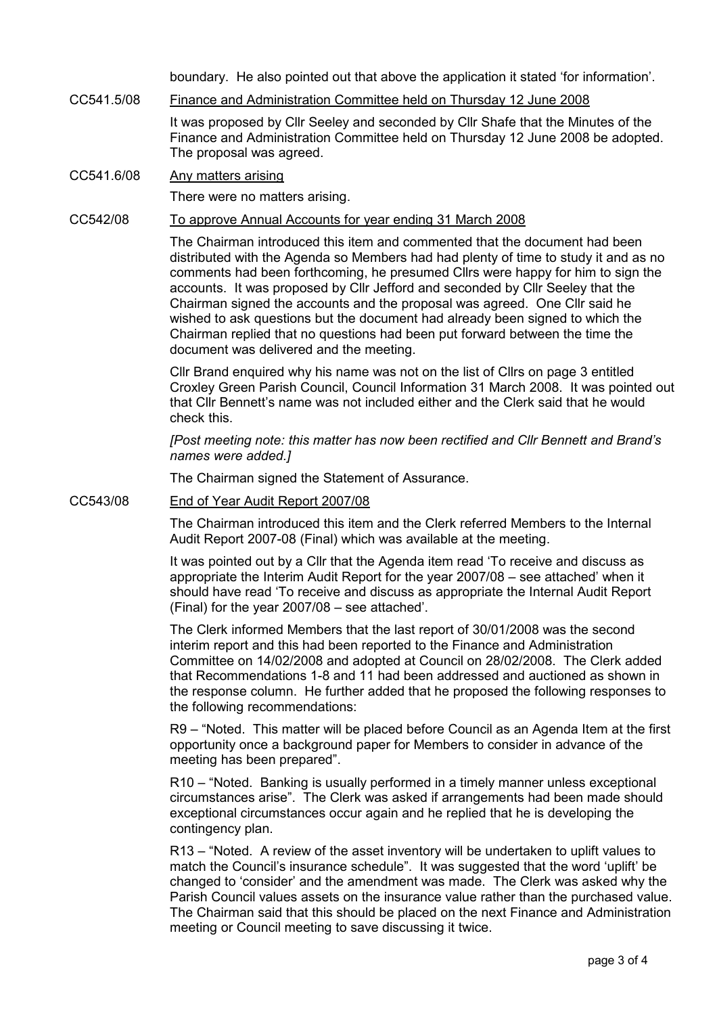boundary. He also pointed out that above the application it stated 'for information'.

CC541.5/08 Finance and Administration Committee held on Thursday 12 June 2008

It was proposed by Cllr Seeley and seconded by Cllr Shafe that the Minutes of the Finance and Administration Committee held on Thursday 12 June 2008 be adopted. The proposal was agreed.

CC541.6/08 Any matters arising

There were no matters arising.

## CC542/08 To approve Annual Accounts for year ending 31 March 2008

The Chairman introduced this item and commented that the document had been distributed with the Agenda so Members had had plenty of time to study it and as no comments had been forthcoming, he presumed Cllrs were happy for him to sign the accounts. It was proposed by Cllr Jefford and seconded by Cllr Seeley that the Chairman signed the accounts and the proposal was agreed. One Cllr said he wished to ask questions but the document had already been signed to which the Chairman replied that no questions had been put forward between the time the document was delivered and the meeting.

Cllr Brand enquired why his name was not on the list of Cllrs on page 3 entitled Croxley Green Parish Council, Council Information 31 March 2008. It was pointed out that Cllr Bennett's name was not included either and the Clerk said that he would check this.

[Post meeting note: this matter has now been rectified and Cllr Bennett and Brand's names were added.]

The Chairman signed the Statement of Assurance.

CC543/08 End of Year Audit Report 2007/08

The Chairman introduced this item and the Clerk referred Members to the Internal Audit Report 2007-08 (Final) which was available at the meeting.

It was pointed out by a Cllr that the Agenda item read 'To receive and discuss as appropriate the Interim Audit Report for the year 2007/08 – see attached' when it should have read 'To receive and discuss as appropriate the Internal Audit Report (Final) for the year 2007/08 – see attached'.

The Clerk informed Members that the last report of 30/01/2008 was the second interim report and this had been reported to the Finance and Administration Committee on 14/02/2008 and adopted at Council on 28/02/2008. The Clerk added that Recommendations 1-8 and 11 had been addressed and auctioned as shown in the response column. He further added that he proposed the following responses to the following recommendations:

R9 – "Noted. This matter will be placed before Council as an Agenda Item at the first opportunity once a background paper for Members to consider in advance of the meeting has been prepared".

R10 – "Noted. Banking is usually performed in a timely manner unless exceptional circumstances arise". The Clerk was asked if arrangements had been made should exceptional circumstances occur again and he replied that he is developing the contingency plan.

R13 – "Noted. A review of the asset inventory will be undertaken to uplift values to match the Council's insurance schedule". It was suggested that the word 'uplift' be changed to 'consider' and the amendment was made. The Clerk was asked why the Parish Council values assets on the insurance value rather than the purchased value. The Chairman said that this should be placed on the next Finance and Administration meeting or Council meeting to save discussing it twice.